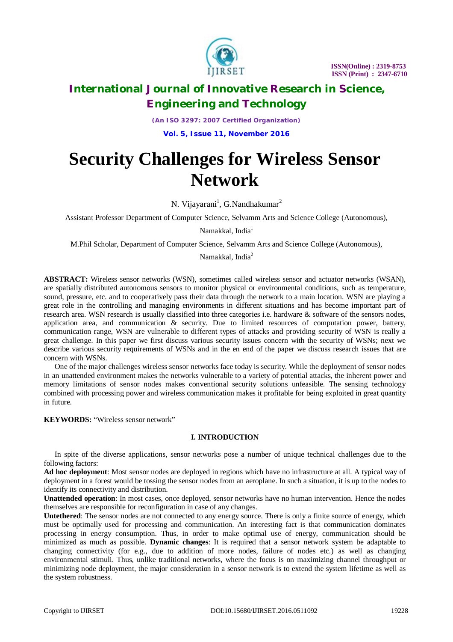

*(An ISO 3297: 2007 Certified Organization)* **Vol. 5, Issue 11, November 2016**

# **Security Challenges for Wireless Sensor Network**

N. Vijayarani<sup>1</sup>, G.Nandhakumar<sup>2</sup>

Assistant Professor Department of Computer Science, Selvamm Arts and Science College (Autonomous),

Namakkal, India<sup>1</sup>

M.Phil Scholar, Department of Computer Science, Selvamm Arts and Science College (Autonomous),

Namakkal, India<sup>2</sup>

**ABSTRACT:** Wireless sensor networks (WSN), sometimes called wireless sensor and actuator networks (WSAN), are spatially distributed autonomous sensors to monitor physical or environmental conditions, such as temperature, sound, pressure, etc. and to cooperatively pass their data through the network to a main location. WSN are playing a great role in the controlling and managing environments in different situations and has become important part of research area. WSN research is usually classified into three categories i.e. hardware & software of the sensors nodes, application area, and communication & security. Due to limited resources of computation power, battery, communication range, WSN are vulnerable to different types of attacks and providing security of WSN is really a great challenge. In this paper we first discuss various security issues concern with the security of WSNs; next we describe various security requirements of WSNs and in the en end of the paper we discuss research issues that are concern with WSNs.

One of the major challenges wireless sensor networks face today is security. While the deployment of sensor nodes in an unattended environment makes the networks vulnerable to a variety of potential attacks, the inherent power and memory limitations of sensor nodes makes conventional security solutions unfeasible. The sensing technology combined with processing power and wireless communication makes it profitable for being exploited in great quantity in future.

**KEYWORDS:** "Wireless sensor network"

### **I. INTRODUCTION**

In spite of the diverse applications, sensor networks pose a number of unique technical challenges due to the following factors:

**Ad hoc deployment**: Most sensor nodes are deployed in regions which have no infrastructure at all. A typical way of deployment in a forest would be tossing the sensor nodes from an aeroplane. In such a situation, it is up to the nodes to identify its connectivity and distribution.

**Unattended operation**: In most cases, once deployed, sensor networks have no human intervention. Hence the nodes themselves are responsible for reconfiguration in case of any changes.

**Untethered**: The sensor nodes are not connected to any energy source. There is only a finite source of energy, which must be optimally used for processing and communication. An interesting fact is that communication dominates processing in energy consumption. Thus, in order to make optimal use of energy, communication should be minimized as much as possible. **Dynamic changes**: It is required that a sensor network system be adaptable to changing connectivity (for e.g., due to addition of more nodes, failure of nodes etc.) as well as changing environmental stimuli. Thus, unlike traditional networks, where the focus is on maximizing channel throughput or minimizing node deployment, the major consideration in a sensor network is to extend the system lifetime as well as the system robustness.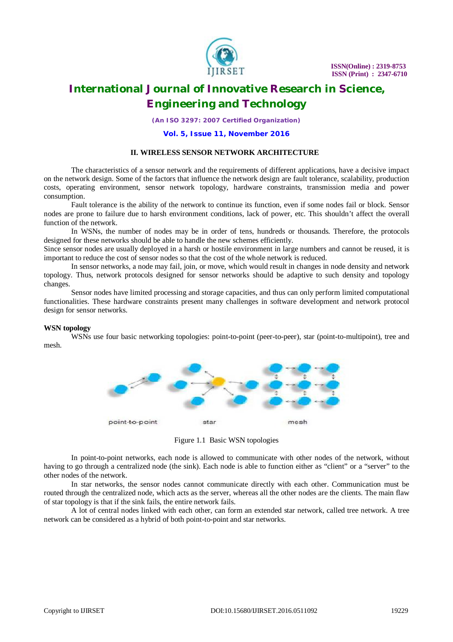

*(An ISO 3297: 2007 Certified Organization)*

#### **Vol. 5, Issue 11, November 2016**

#### **II. WIRELESS SENSOR NETWORK ARCHITECTURE**

The characteristics of a sensor network and the requirements of different applications, have a decisive impact on the network design. Some of the factors that influence the network design are fault tolerance, scalability, production costs, operating environment, sensor network topology, hardware constraints, transmission media and power consumption.

Fault tolerance is the ability of the network to continue its function, even if some nodes fail or block. Sensor nodes are prone to failure due to harsh environment conditions, lack of power, etc. This shouldn't affect the overall function of the network.

In WSNs, the number of nodes may be in order of tens, hundreds or thousands. Therefore, the protocols designed for these networks should be able to handle the new schemes efficiently.

Since sensor nodes are usually deployed in a harsh or hostile environment in large numbers and cannot be reused, it is important to reduce the cost of sensor nodes so that the cost of the whole network is reduced.

In sensor networks, a node may fail, join, or move, which would result in changes in node density and network topology. Thus, network protocols designed for sensor networks should be adaptive to such density and topology changes.

Sensor nodes have limited processing and storage capacities, and thus can only perform limited computational functionalities. These hardware constraints present many challenges in software development and network protocol design for sensor networks.

#### **WSN topology**

WSNs use four basic networking topologies: point-to-point (peer-to-peer), star (point-to-multipoint), tree and mesh.



Figure 1.1 Basic WSN topologies

In point-to-point networks, each node is allowed to communicate with other nodes of the network, without having to go through a centralized node (the sink). Each node is able to function either as "client" or a "server" to the other nodes of the network.

In star networks, the sensor nodes cannot communicate directly with each other. Communication must be routed through the centralized node, which acts as the server, whereas all the other nodes are the clients. The main flaw of star topology is that if the sink fails, the entire network fails.

A lot of central nodes linked with each other, can form an extended star network, called tree network. A tree network can be considered as a hybrid of both point-to-point and star networks.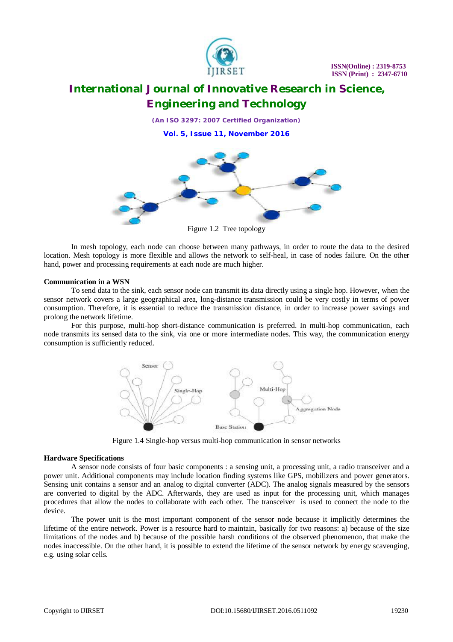

*(An ISO 3297: 2007 Certified Organization)* **Vol. 5, Issue 11, November 2016**



Figure 1.2 Tree topology

In mesh topology, each node can choose between many pathways, in order to route the data to the desired location. Mesh topology is more flexible and allows the network to self-heal, in case of nodes failure. On the other hand, power and processing requirements at each node are much higher.

### **Communication in a WSN**

To send data to the sink, each sensor node can transmit its data directly using a single hop. However, when the sensor network covers a large geographical area, long-distance transmission could be very costly in terms of power consumption. Therefore, it is essential to reduce the transmission distance, in order to increase power savings and prolong the network lifetime.

For this purpose, multi-hop short-distance communication is preferred. In multi-hop communication, each node transmits its sensed data to the sink, via one or more intermediate nodes. This way, the communication energy consumption is sufficiently reduced.



Figure 1.4 Single-hop versus multi-hop communication in sensor networks

#### **Hardware Specifications**

A sensor node consists of four basic components : a sensing unit, a processing unit, a radio transceiver and a power unit. Additional components may include location finding systems like GPS, mobilizers and power generators. Sensing unit contains a sensor and an analog to digital converter (ADC). The analog signals measured by the sensors are converted to digital by the ADC. Afterwards, they are used as input for the processing unit, which manages procedures that allow the nodes to collaborate with each other. The transceiver is used to connect the node to the device.

The power unit is the most important component of the sensor node because it implicitly determines the lifetime of the entire network. Power is a resource hard to maintain, basically for two reasons: a) because of the size limitations of the nodes and b) because of the possible harsh conditions of the observed phenomenon, that make the nodes inaccessible. On the other hand, it is possible to extend the lifetime of the sensor network by energy scavenging, e.g. using solar cells.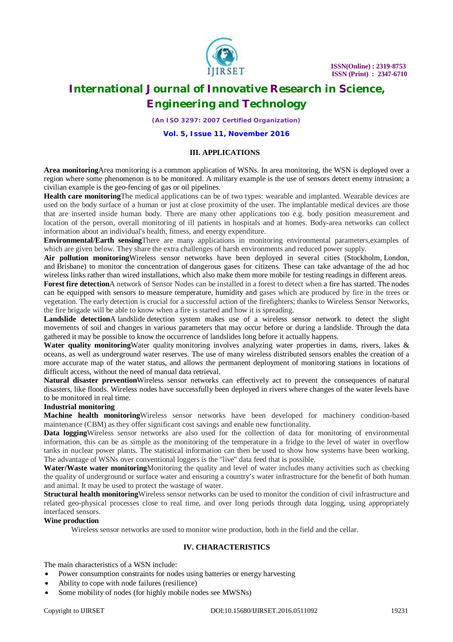

*(An ISO 3297: 2007 Certified Organization)*

**Vol. 5, Issue 11, November 2016**

### **III. APPLICATIONS**

**Area monitoring**Area monitoring is a common application of WSNs. In area monitoring, the WSN is deployed over a region where some phenomenon is to be monitored. A military example is the use of sensors detect enemy intrusion; a civilian example is the geo-fencing of gas or oil pipelines.

**Health care monitoring**The medical applications can be of two types: wearable and implanted. Wearable devices are used on the body surface of a human or just at close proximity of the user. The implantable medical devices are those that are inserted inside human body. There are many other applications too e.g. body position measurement and location of the person, overall monitoring of ill patients in hospitals and at homes. Body-area networks can collect information about an individual's health, fitness, and energy expenditure.

**Environmental/Earth sensing**There are many applications in monitoring environmental parameters,examples of which are given below. They share the extra challenges of harsh environments and reduced power supply.

**Air pollution monitoring**Wireless sensor networks have been deployed in several cities (Stockholm, London, and Brisbane) to monitor the concentration of dangerous gases for citizens. These can take advantage of the ad hoc wireless links rather than wired installations, which also make them more mobile for testing readings in different areas.

**Forest fire detection**A network of Sensor Nodes can be installed in a forest to detect when a fire has started. The nodes can be equipped with sensors to measure temperature, humidity and gases which are produced by fire in the trees or vegetation. The early detection is crucial for a successful action of the firefighters; thanks to Wireless Sensor Networks, the fire brigade will be able to know when a fire is started and how it is spreading.

**Landslide detection**A landslide detection system makes use of a wireless sensor network to detect the slight movements of soil and changes in various parameters that may occur before or during a landslide. Through the data gathered it may be possible to know the occurrence of landslides long before it actually happens.

Water quality monitoring Water quality monitoring involves analyzing water properties in dams, rivers, lakes & oceans, as well as underground water reserves. The use of many wireless distributed sensors enables the creation of a more accurate map of the water status, and allows the permanent deployment of monitoring stations in locations of difficult access, without the need of manual data retrieval.

**Natural disaster prevention**Wireless sensor networks can effectively act to prevent the consequences of natural disasters, like floods. Wireless nodes have successfully been deployed in rivers where changes of the water levels have to be monitored in real time.

### **Industrial monitoring**

**Machine health monitoring**Wireless sensor networks have been developed for machinery condition-based maintenance (CBM) as they offer significant cost savings and enable new functionality.

**Data logging**Wireless sensor networks are also used for the collection of data for monitoring of environmental information, this can be as simple as the monitoring of the temperature in a fridge to the level of water in overflow tanks in nuclear power plants. The statistical information can then be used to show how systems have been working. The advantage of WSNs over conventional loggers is the "live" data feed that is possible.

**Water/Waste water monitoring**Monitoring the quality and level of water includes many activities such as checking the quality of underground or surface water and ensuring a country's water infrastructure for the benefit of both human and animal. It may be used to protect the wastage of water.

**Structural health monitoring**Wireless sensor networks can be used to monitor the condition of civil infrastructure and related geo-physical processes close to real time, and over long periods through data logging, using appropriately interfaced sensors.

### **Wine production**

Wireless sensor networks are used to monitor wine production, both in the field and the cellar.

### **IV. CHARACTERISTICS**

The main characteristics of a WSN include:

- Power consumption constraints for nodes using batteries or energy harvesting
- Ability to cope with node failures (resilience)
- Some mobility of nodes (for highly mobile nodes see MWSNs)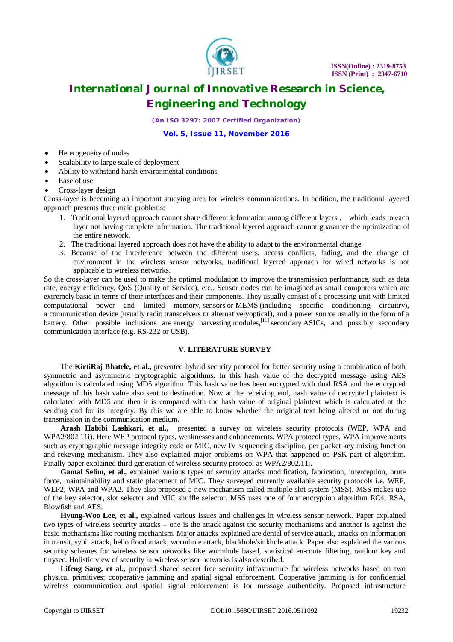

*(An ISO 3297: 2007 Certified Organization)*

**Vol. 5, Issue 11, November 2016**

- Heterogeneity of nodes
- Scalability to large scale of deployment
- Ability to withstand harsh environmental conditions
- Ease of use
- Cross-layer design

Cross-layer is becoming an important studying area for wireless communications. In addition, the traditional layered approach presents three main problems:

- 1. Traditional layered approach cannot share different information among different layers , which leads to each layer not having complete information. The traditional layered approach cannot guarantee the optimization of the entire network.
- 2. The traditional layered approach does not have the ability to adapt to the environmental change.
- 3. Because of the interference between the different users, access conflicts, fading, and the change of environment in the wireless sensor networks, traditional layered approach for wired networks is not applicable to wireless networks.

So the cross-layer can be used to make the optimal modulation to improve the transmission performance, such as data rate, energy efficiency, QoS (Quality of Service), etc.. Sensor nodes can be imagined as small computers which are extremely basic in terms of their interfaces and their components. They usually consist of a processing unit with limited computational power and limited memory, sensors or MEMS (including specific conditioning circuitry), a communication device (usually radio transceivers or alternativelyoptical), and a power source usually in the form of a battery. Other possible inclusions are energy harvesting modules,<sup>[11]</sup> secondary ASICs, and possibly secondary harvesting modules,<sup>[11]</sup> secondary ASICs, and possibly secondary communication interface (e.g. RS-232 or USB).

#### **V. LITERATURE SURVEY**

The **KirtiRaj Bhatele, et al.,** presented hybrid security protocol for better security using a combination of both symmetric and asymmetric cryptographic algorithms. In this hash value of the decrypted message using AES algorithm is calculated using MD5 algorithm. This hash value has been encrypted with dual RSA and the encrypted message of this hash value also sent to destination. Now at the receiving end, hash value of decrypted plaintext is calculated with MD5 and then it is compared with the hash value of original plaintext which is calculated at the sending end for its integrity. By this we are able to know whether the original text being altered or not during transmission in the communication medium.

**Arash Habibi Lashkari, et al.,** presented a survey on wireless security protocols (WEP, WPA and WPA2/802.11i). Here WEP protocol types, weaknesses and enhancements, WPA protocol types, WPA improvements such as cryptographic message integrity code or MIC, new IV sequencing discipline, per packet key mixing function and rekeying mechanism. They also explained major problems on WPA that happened on PSK part of algorithm. Finally paper explained third generation of wireless security protocol as WPA2/802.11i.

Gamal Selim, et al., explained various types of security attacks modification, fabrication, interception, brute force, maintainability and static placement of MIC. They surveyed currently available security protocols i.e. WEP, WEP2, WPA and WPA2. They also proposed a new mechanism called multiple slot system (MSS). MSS makes use of the key selector, slot selector and MIC shuffle selector. MSS uses one of four encryption algorithm RC4, RSA, Blowfish and AES.

**Hyung-Woo Lee, et al.,** explained various issues and challenges in wireless sensor network. Paper explained two types of wireless security attacks – one is the attack against the security mechanisms and another is against the basic mechanisms like routing mechanism. Major attacks explained are denial of service attack, attacks on information in transit, sybil attack, hello flood attack, wormhole attack, blackhole/sinkhole attack. Paper also explained the various security schemes for wireless sensor networks like wormhole based, statistical en-route filtering, random key and tinysec. Holistic view of security in wireless sensor networks is also described.

**Lifeng Sang, et al.,** proposed shared secret free security infrastructure for wireless networks based on two physical primitives: cooperative jamming and spatial signal enforcement. Cooperative jamming is for confidential wireless communication and spatial signal enforcement is for message authenticity. Proposed infrastructure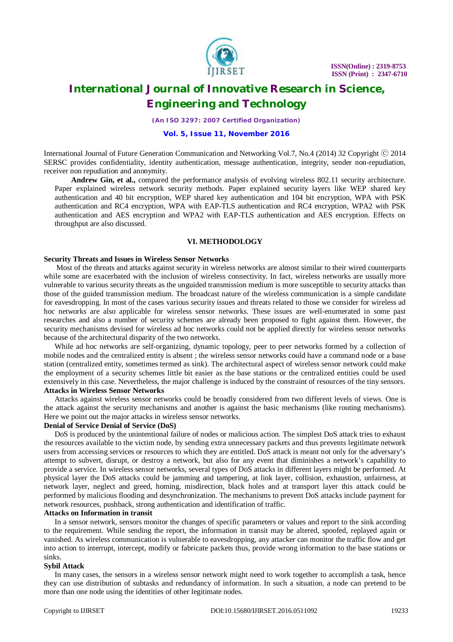

*(An ISO 3297: 2007 Certified Organization)*

#### **Vol. 5, Issue 11, November 2016**

International Journal of Future Generation Communication and Networking Vol.7, No.4 (2014) 32 Copyright © 2014 SERSC provides confidentiality, identity authentication, message authentication, integrity, sender non-repudiation, receiver non repudiation and anonymity.

**Andrew Gin, et al.,** compared the performance analysis of evolving wireless 802.11 security architecture. Paper explained wireless network security methods. Paper explained security layers like WEP shared key authentication and 40 bit encryption, WEP shared key authentication and 104 bit encryption, WPA with PSK authentication and RC4 encryption, WPA with EAP-TLS authentication and RC4 encryption, WPA2 with PSK authentication and AES encryption and WPA2 with EAP-TLS authentication and AES encryption. Effects on throughput are also discussed.

#### **VI. METHODOLOGY**

#### **Security Threats and Issues in Wireless Sensor Networks**

Most of the threats and attacks against security in wireless networks are almost similar to their wired counterparts while some are exacerbated with the inclusion of wireless connectivity. In fact, wireless networks are usually more vulnerable to various security threats as the unguided transmission medium is more susceptible to security attacks than those of the guided transmission medium. The broadcast nature of the wireless communication is a simple candidate for eavesdropping. In most of the cases various security issues and threats related to those we consider for wireless ad hoc networks are also applicable for wireless sensor networks. These issues are well-enumerated in some past researches and also a number of security schemes are already been proposed to fight against them. However, the security mechanisms devised for wireless ad hoc networks could not be applied directly for wireless sensor networks because of the architectural disparity of the two networks.

While ad hoc networks are self-organizing, dynamic topology, peer to peer networks formed by a collection of mobile nodes and the centralized entity is absent ; the wireless sensor networks could have a command node or a base station (centralized entity, sometimes termed as sink). The architectural aspect of wireless sensor network could make the employment of a security schemes little bit easier as the base stations or the centralized entities could be used extensively in this case. Nevertheless, the major challenge is induced by the constraint of resources of the tiny sensors. **Attacks in Wireless Sensor Networks**

Attacks against wireless sensor networks could be broadly considered from two different levels of views. One is the attack against the security mechanisms and another is against the basic mechanisms (like routing mechanisms). Here we point out the major attacks in wireless sensor networks.

#### **Denial of Service Denial of Service (DoS)**

DoS is produced by the unintentional failure of nodes or malicious action. The simplest DoS attack tries to exhaust the resources available to the victim node, by sending extra unnecessary packets and thus prevents legitimate network users from accessing services or resources to which they are entitled. DoS attack is meant not only for the adversary's attempt to subvert, disrupt, or destroy a network, but also for any event that diminishes a network's capability to provide a service. In wireless sensor networks, several types of DoS attacks in different layers might be performed. At physical layer the DoS attacks could be jamming and tampering, at link layer, collision, exhaustion, unfairness, at network layer, neglect and greed, homing, misdirection, black holes and at transport layer this attack could be performed by malicious flooding and desynchronization. The mechanisms to prevent DoS attacks include payment for network resources, pushback, strong authentication and identification of traffic.

#### **Attacks on Information in transit**

In a sensor network, sensors monitor the changes of specific parameters or values and report to the sink according to the requirement. While sending the report, the information in transit may be altered, spoofed, replayed again or vanished. As wireless communication is vulnerable to eavesdropping, any attacker can monitor the traffic flow and get into action to interrupt, intercept, modify or fabricate packets thus, provide wrong information to the base stations or sinks.

#### **Sybil Attack**

In many cases, the sensors in a wireless sensor network might need to work together to accomplish a task, hence they can use distribution of subtasks and redundancy of information. In such a situation, a node can pretend to be more than one node using the identities of other legitimate nodes.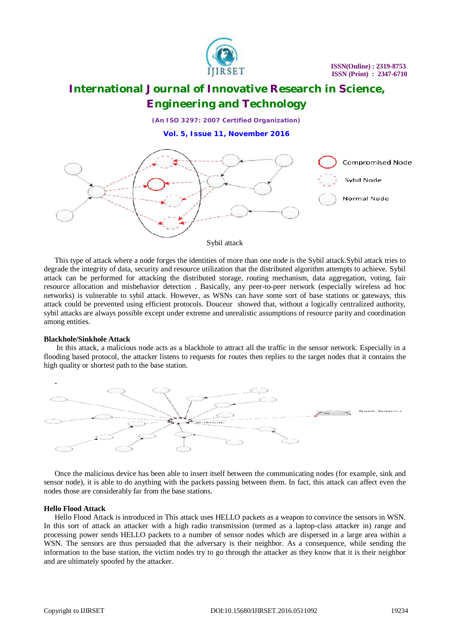

*(An ISO 3297: 2007 Certified Organization)*

**Vol. 5, Issue 11, November 2016**



This type of attack where a node forges the identities of more than one node is the Sybil attack.Sybil attack tries to degrade the integrity of data, security and resource utilization that the distributed algorithm attempts to achieve. Sybil attack can be performed for attacking the distributed storage, routing mechanism, data aggregation, voting, fair resource allocation and misbehavior detection . Basically, any peer-to-peer network (especially wireless ad hoc networks) is vulnerable to sybil attack. However, as WSNs can have some sort of base stations or gateways, this attack could be prevented using efficient protocols. Douceur showed that, without a logically centralized authority, sybil attacks are always possible except under extreme and unrealistic assumptions of resource parity and coordination among entities.

#### **Blackhole/Sinkhole Attack**

In this attack, a malicious node acts as a blackhole to attract all the traffic in the sensor network. Especially in a flooding based protocol, the attacker listens to requests for routes then replies to the target nodes that it contains the high quality or shortest path to the base station.



Once the malicious device has been able to insert itself between the communicating nodes (for example, sink and sensor node), it is able to do anything with the packets passing between them. In fact, this attack can affect even the nodes those are considerably far from the base stations.

#### **Hello Flood Attack**

Hello Flood Attack is introduced in This attack uses HELLO packets as a weapon to convince the sensors in WSN. In this sort of attack an attacker with a high radio transmission (termed as a laptop-class attacker in) range and processing power sends HELLO packets to a number of sensor nodes which are dispersed in a large area within a WSN. The sensors are thus persuaded that the adversary is their neighbor. As a consequence, while sending the information to the base station, the victim nodes try to go through the attacker as they know that it is their neighbor and are ultimately spoofed by the attacker.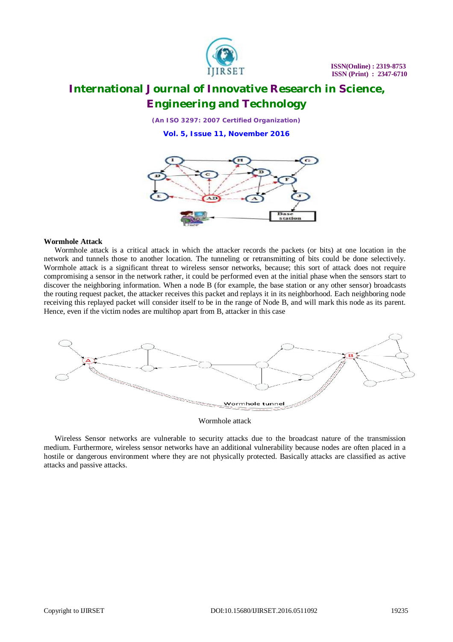

*(An ISO 3297: 2007 Certified Organization)*

**Vol. 5, Issue 11, November 2016**



### **Wormhole Attack**

Wormhole attack is a critical attack in which the attacker records the packets (or bits) at one location in the network and tunnels those to another location. The tunneling or retransmitting of bits could be done selectively. Wormhole attack is a significant threat to wireless sensor networks, because; this sort of attack does not require compromising a sensor in the network rather, it could be performed even at the initial phase when the sensors start to discover the neighboring information. When a node B (for example, the base station or any other sensor) broadcasts the routing request packet, the attacker receives this packet and replays it in its neighborhood. Each neighboring node receiving this replayed packet will consider itself to be in the range of Node B, and will mark this node as its parent. Hence, even if the victim nodes are multihop apart from B, attacker in this case



Wormhole attack

Wireless Sensor networks are vulnerable to security attacks due to the broadcast nature of the transmission medium. Furthermore, wireless sensor networks have an additional vulnerability because nodes are often placed in a hostile or dangerous environment where they are not physically protected. Basically attacks are classified as active attacks and passive attacks.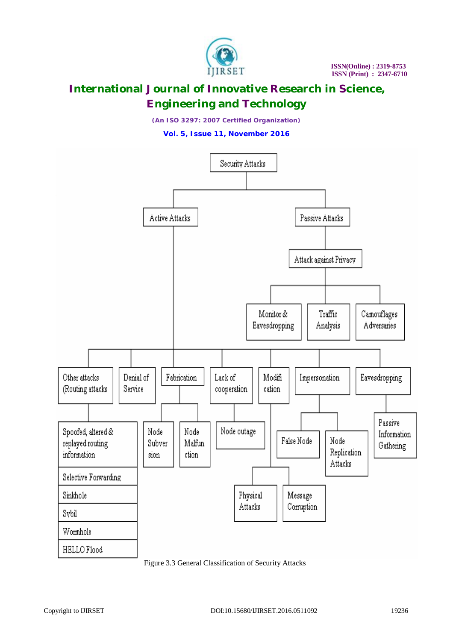

*(An ISO 3297: 2007 Certified Organization)*

**Vol. 5, Issue 11, November 2016**



Figure 3.3 General Classification of Security Attacks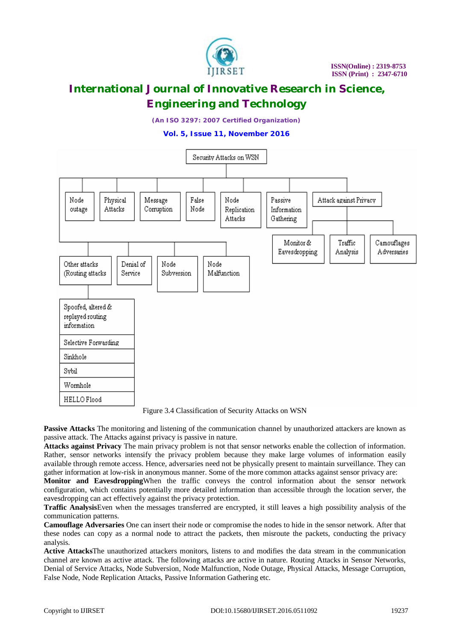

*(An ISO 3297: 2007 Certified Organization)*

**Vol. 5, Issue 11, November 2016**



Figure 3.4 Classification of Security Attacks on WSN

**Passive Attacks** The monitoring and listening of the communication channel by unauthorized attackers are known as passive attack. The Attacks against privacy is passive in nature.

**Attacks against Privacy** The main privacy problem is not that sensor networks enable the collection of information. Rather, sensor networks intensify the privacy problem because they make large volumes of information easily available through remote access. Hence, adversaries need not be physically present to maintain surveillance. They can gather information at low-risk in anonymous manner. Some of the more common attacks against sensor privacy are:

**Monitor and Eavesdropping**When the traffic conveys the control information about the sensor network configuration, which contains potentially more detailed information than accessible through the location server, the eavesdropping can act effectively against the privacy protection.

**Traffic Analysis**Even when the messages transferred are encrypted, it still leaves a high possibility analysis of the communication patterns.

**Camouflage Adversaries** One can insert their node or compromise the nodes to hide in the sensor network. After that these nodes can copy as a normal node to attract the packets, then misroute the packets, conducting the privacy analysis.

**Active Attacks**The unauthorized attackers monitors, listens to and modifies the data stream in the communication channel are known as active attack. The following attacks are active in nature. Routing Attacks in Sensor Networks, Denial of Service Attacks, Node Subversion, Node Malfunction, Node Outage, Physical Attacks, Message Corruption, False Node, Node Replication Attacks, Passive Information Gathering etc.